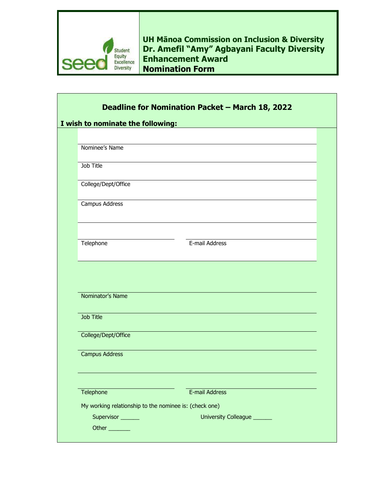

Г

**UH Mānoa Commission on Inclusion & Diversity Dr. Amefil "Amy" Agbayani Faculty Diversity Enhancement Award Nomination Form**

٦

| Deadline for Nomination Packet - March 18, 2022             |  |
|-------------------------------------------------------------|--|
| I wish to nominate the following:                           |  |
|                                                             |  |
| Nominee's Name                                              |  |
| Job Title                                                   |  |
| College/Dept/Office                                         |  |
| Campus Address                                              |  |
| E-mail Address<br>Telephone                                 |  |
| Nominator's Name                                            |  |
| <b>Job Title</b>                                            |  |
| College/Dept/Office                                         |  |
| <b>Campus Address</b>                                       |  |
|                                                             |  |
| Telephone<br>E-mail Address                                 |  |
| My working relationship to the nominee is: (check one)      |  |
| Supervisor<br>University Colleague ______<br>Other ________ |  |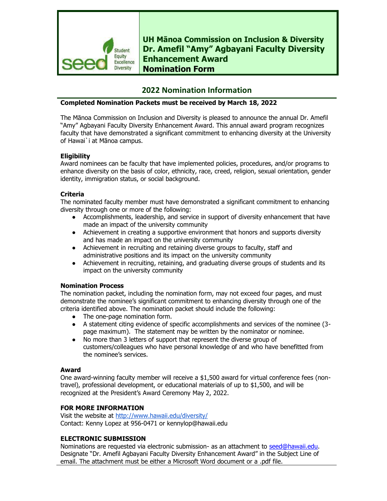

**UH Mānoa Commission on Inclusion & Diversity Dr. Amefil "Amy" Agbayani Faculty Diversity Enhancement Award Nomination Form**

# **2022 Nomination Information**

## **Completed Nomination Packets must be received by March 18, 2022**

The Mānoa Commission on Inclusion and Diversity is pleased to announce the annual Dr. Amefil "Amy" Agbayani Faculty Diversity Enhancement Award. This annual award program recognizes faculty that have demonstrated a significant commitment to enhancing diversity at the University of Hawai`i at Mānoa campus.

## **Eligibility**

Award nominees can be faculty that have implemented policies, procedures, and/or programs to enhance diversity on the basis of color, ethnicity, race, creed, religion, sexual orientation, gender identity, immigration status, or social background.

#### **Criteria**

The nominated faculty member must have demonstrated a significant commitment to enhancing diversity through one or more of the following:

- Accomplishments, leadership, and service in support of diversity enhancement that have made an impact of the university community
- Achievement in creating a supportive environment that honors and supports diversity and has made an impact on the university community
- Achievement in recruiting and retaining diverse groups to faculty, staff and administrative positions and its impact on the university community
- Achievement in recruiting, retaining, and graduating diverse groups of students and its impact on the university community

#### **Nomination Process**

The nomination packet, including the nomination form, may not exceed four pages, and must demonstrate the nominee's significant commitment to enhancing diversity through one of the criteria identified above. The nomination packet should include the following:

- The one-page nomination form.
- A statement citing evidence of specific accomplishments and services of the nominee (3 page maximum). The statement may be written by the nominator or nominee.
- No more than 3 letters of support that represent the diverse group of customers/colleagues who have personal knowledge of and who have benefitted from the nominee's services.

#### **Award**

One award-winning faculty member will receive a \$1,500 award for virtual conference fees (nontravel), professional development, or educational materials of up to \$1,500, and will be recognized at the President's Award Ceremony May 2, 2022.

# **FOR MORE INFORMATION**

Visit the website at<http://www.hawaii.edu/diversity/> Contact: Kenny Lopez at 956-0471 or kennylop@hawaii.edu

# **ELECTRONIC SUBMISSION**

Nominations are requested via electronic submission- as an attachment to [seed@hawaii.edu.](mailto:seed@hawaii.edu) Designate "Dr. Amefil Agbayani Faculty Diversity Enhancement Award" in the Subject Line of email. The attachment must be either a Microsoft Word document or a .pdf file.